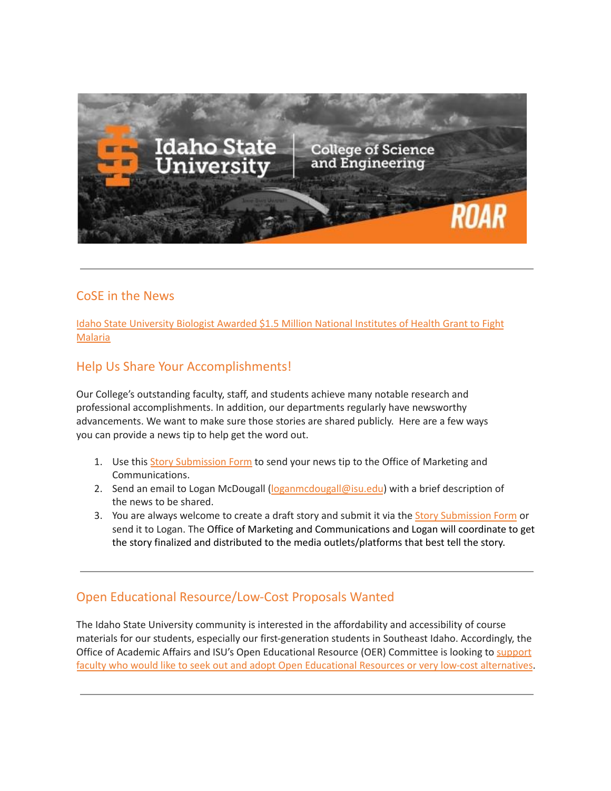

## CoSE in the News

Idaho State [University](https://www.isu.edu/news/2022-spring/idaho-state-university-biologist-awarded-15-million-national-institutes-of-health-grant-to-fight-malaria.html) Biologist Awarded \$1.5 Million National Institutes of Health Grant to Fight **[Malaria](https://www.isu.edu/news/2022-spring/idaho-state-university-biologist-awarded-15-million-national-institutes-of-health-grant-to-fight-malaria.html)** 

## Help Us Share Your Accomplishments!

Our College's outstanding faculty, staff, and students achieve many notable research and professional accomplishments. In addition, our departments regularly have newsworthy advancements. We want to make sure those stories are shared publicly. Here are a few ways you can provide a news tip to help get the word out.

- 1. Use this Story [Submission](https://www.isu.edu/news/story-form/) Form to send your news tip to the Office of Marketing and Communications.
- 2. Send an email to Logan McDougall ([loganmcdougall@isu.edu](mailto:loganmcdougall@isu.edu)) with a brief description of the news to be shared.
- 3. You are always welcome to create a draft story and submit it via the Story [Submission](https://www.isu.edu/news/story-form/) Form or send it to Logan. The Office of Marketing and Communications and Logan will coordinate to get the story finalized and distributed to the media outlets/platforms that best tell the story.

# Open Educational Resource/Low-Cost Proposals Wanted

The Idaho State University community is interested in the affordability and accessibility of course materials for our students, especially our first-generation students in Southeast Idaho. Accordingly, the Office of Academic Affairs and ISU's Open Educational Resource (OER) Committee is looking to [support](https://myemail.constantcontact.com/OER-Low-Cost-Proposal.html?soid=1127399030149&aid=PfFDHpZR-g4) faculty who would like to seek out and adopt Open Educational Resources or very low-cost [alternatives](https://myemail.constantcontact.com/OER-Low-Cost-Proposal.html?soid=1127399030149&aid=PfFDHpZR-g4).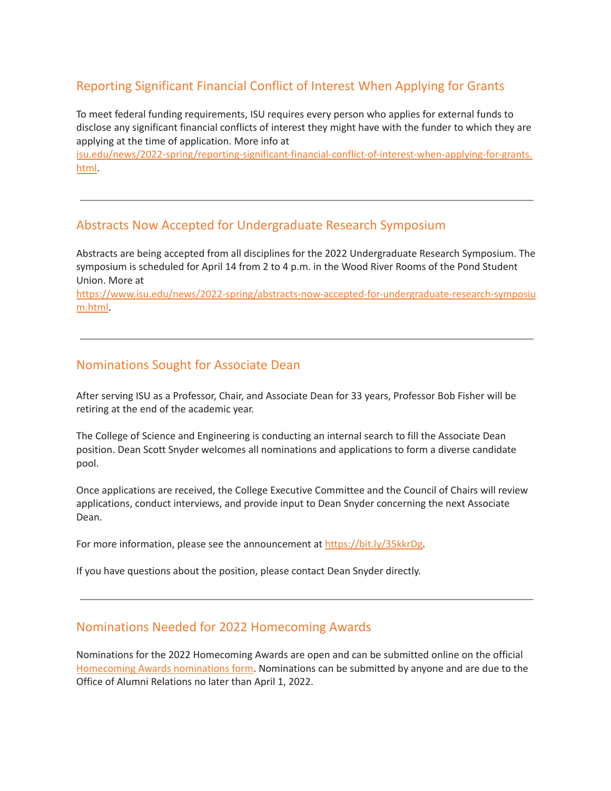# Reporting Significant Financial Conflict of Interest When Applying for Grants

To meet federal funding requirements, ISU requires every person who applies for external funds to disclose any significant financial conflicts of interest they might have with the funder to which they are applying at the time of application. More info at

[isu.edu/news/2022-spring/reporting-significant-financial-conflict-of-interest-when-applying-for-grants.](https://www.isu.edu/news/2022-spring/reporting-significant-financial-conflict-of-interest-when-applying-for-grants.html) [html](https://www.isu.edu/news/2022-spring/reporting-significant-financial-conflict-of-interest-when-applying-for-grants.html).

#### Abstracts Now Accepted for Undergraduate Research Symposium

Abstracts are being accepted from all disciplines for the 2022 Undergraduate Research Symposium. The symposium is scheduled for April 14 from 2 to 4 p.m. in the Wood River Rooms of the Pond Student Union. More at

[https://www.isu.edu/news/2022-spring/abstracts-now-accepted-for-undergraduate-research-symposiu](https://www.isu.edu/news/2022-spring/abstracts-now-accepted-for-undergraduate-research-symposium.html) [m.html.](https://www.isu.edu/news/2022-spring/abstracts-now-accepted-for-undergraduate-research-symposium.html)

#### Nominations Sought for Associate Dean

After serving ISU as a Professor, Chair, and Associate Dean for 33 years, Professor Bob Fisher will be retiring at the end of the academic year.

The College of Science and Engineering is conducting an internal search to fill the Associate Dean position. Dean Scott Snyder welcomes all nominations and applications to form a diverse candidate pool.

Once applications are received, the College Executive Committee and the Council of Chairs will review applications, conduct interviews, and provide input to Dean Snyder concerning the next Associate Dean.

For more information, please see the announcement at [https://bit.ly/35kkrDg.](https://bit.ly/35kkrDg)

If you have questions about the position, please contact Dean Snyder directly.

#### Nominations Needed for 2022 Homecoming Awards

Nominations for the 2022 Homecoming Awards are open and can be submitted online on the official [Homecoming](https://idahostateu.formstack.com/forms/homecoming_award_nomination_form) Awards nominations form. Nominations can be submitted by anyone and are due to the Office of Alumni Relations no later than April 1, 2022.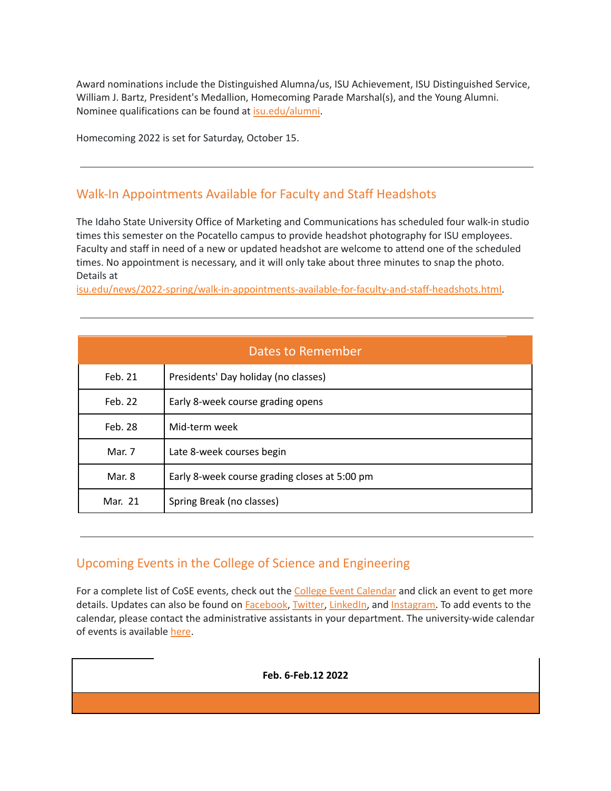Award nominations include the Distinguished Alumna/us, ISU Achievement, ISU Distinguished Service, William J. Bartz, President's Medallion, Homecoming Parade Marshal(s), and the Young Alumni. Nominee qualifications can be found at [isu.edu/alumni.](https://isu.edu/alumni)

Homecoming 2022 is set for Saturday, October 15.

### Walk-In Appointments Available for Faculty and Staff Headshots

The Idaho State University Office of Marketing and Communications has scheduled four walk-in studio times this semester on the Pocatello campus to provide headshot photography for ISU employees. Faculty and staff in need of a new or updated headshot are welcome to attend one of the scheduled times. No appointment is necessary, and it will only take about three minutes to snap the photo. Details at

[isu.edu/news/2022-spring/walk-in-appointments-available-for-faculty-and-staff-headshots.html.](https://www.isu.edu/news/2022-spring/walk-in-appointments-available-for-faculty-and-staff-headshots.html)

| Dates to Remember |                                               |  |  |
|-------------------|-----------------------------------------------|--|--|
| Feb. 21           | Presidents' Day holiday (no classes)          |  |  |
| Feb. 22           | Early 8-week course grading opens             |  |  |
| Feb. 28           | Mid-term week                                 |  |  |
| Mar. 7            | Late 8-week courses begin                     |  |  |
| Mar. 8            | Early 8-week course grading closes at 5:00 pm |  |  |
| Mar. 21           | Spring Break (no classes)                     |  |  |

### Upcoming Events in the College of Science and Engineering

For a complete list of CoSE events, check out the College Event [Calendar](https://isu.edu/cse/calendar/) and click an event to get more details. Updates can also be found on [Facebook](https://www.facebook.com/IdahoStateUCoSE), [Twitter](https://twitter.com/IdahoStateUCoSE), [LinkedIn,](https://www.linkedin.com/company/idaho-state-university-college-of-science-and-engineering) and [Instagram.](https://www.instagram.com/idahostateucose/) To add events to the calendar, please contact the administrative assistants in your department. The university-wide calendar of events is available [here](https://www.isu.edu/calendar/).

#### **Feb. 6-Feb.12 2022**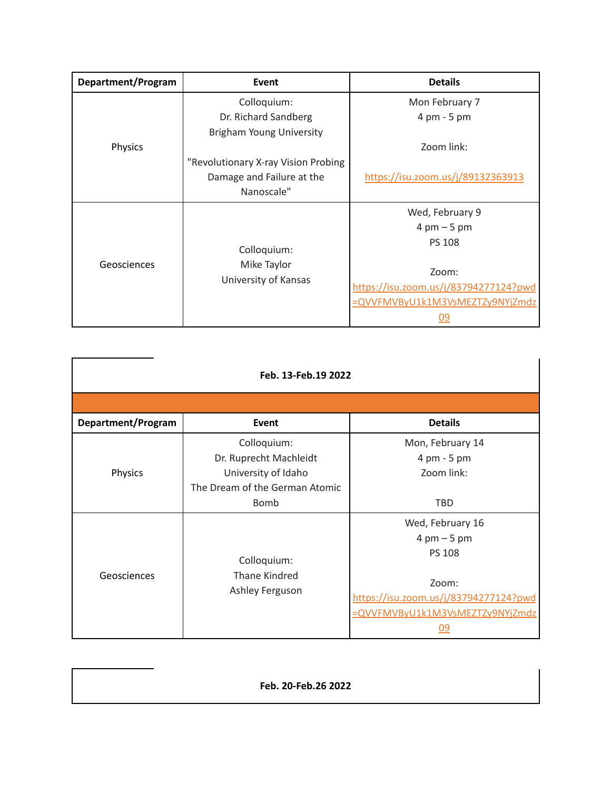| Department/Program | Event                               | <b>Details</b>                        |
|--------------------|-------------------------------------|---------------------------------------|
| Physics            | Colloquium:                         | Mon February 7                        |
|                    | Dr. Richard Sandberg                | 4 pm - 5 pm                           |
|                    | <b>Brigham Young University</b>     |                                       |
|                    |                                     | Zoom link:                            |
|                    | "Revolutionary X-ray Vision Probing |                                       |
|                    | Damage and Failure at the           | https://isu.zoom.us/j/89132363913     |
|                    | Nanoscale"                          |                                       |
|                    |                                     | Wed, February 9                       |
|                    |                                     | $4 \text{ pm} - 5 \text{ pm}$         |
| Geosciences        |                                     | <b>PS 108</b>                         |
|                    | Colloquium:                         |                                       |
|                    | Mike Taylor<br>University of Kansas | Zoom:                                 |
|                    |                                     | https://isu.zoom.us/j/83794277124?pwd |
|                    |                                     | =QVVFMVByU1k1M3VsMEZTZy9NYjZmdz       |
|                    |                                     | <u>09</u>                             |

| Feb. 13-Feb.19 2022 |                                                                                                        |                                                                                                                                                               |  |  |  |
|---------------------|--------------------------------------------------------------------------------------------------------|---------------------------------------------------------------------------------------------------------------------------------------------------------------|--|--|--|
|                     |                                                                                                        |                                                                                                                                                               |  |  |  |
| Department/Program  | Event                                                                                                  | <b>Details</b>                                                                                                                                                |  |  |  |
| Physics             | Colloquium:<br>Dr. Ruprecht Machleidt<br>University of Idaho<br>The Dream of the German Atomic<br>Bomb | Mon, February 14<br>4 pm - 5 pm<br>Zoom link:<br><b>TBD</b>                                                                                                   |  |  |  |
| Geosciences         | Colloquium:<br><b>Thane Kindred</b><br>Ashley Ferguson                                                 | Wed, February 16<br>$4 \text{ pm} - 5 \text{ pm}$<br><b>PS 108</b><br>Zoom:<br>https://isu.zoom.us/j/83794277124?pwd<br>=QVVFMVByU1k1M3VsMEZTZy9NYjZmdz<br>09 |  |  |  |

**Feb. 20-Feb.26 2022**